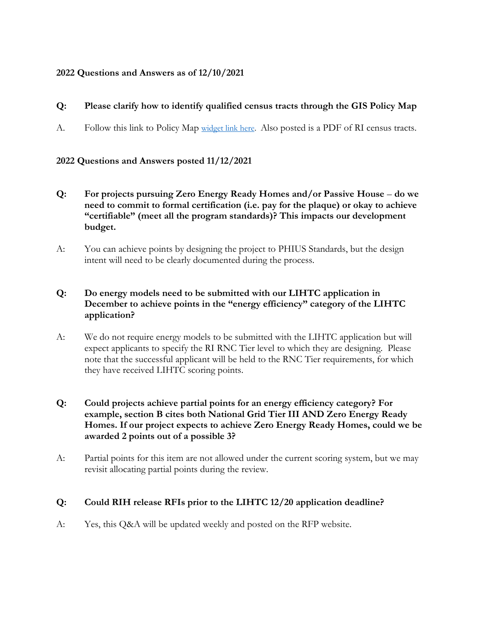## **2022 Questions and Answers as of 12/10/2021**

# **Q: Please clarify how to identify qualified census tracts through the GIS Policy Map**

A. Follow this link to Policy Map [widget link here.](https://gcc02.safelinks.protection.outlook.com/?url=https%3A%2F%2Fwww.policymap.com%2Fwidget%3Fsid%3D11151%26wkey%3DNSAEJR2KC74MAXTZ2BTXGSYSL1ZMRVBF&data=04%7C01%7Caberman%40rihousing.com%7C6fcf1cd89ce944880da908d967da49ae%7C05df7b1b5f934a61aa9644c90e298e51%7C0%7C0%7C637655009515982755%7CUnknown%7CTWFpbGZsb3d8eyJWIjoiMC4wLjAwMDAiLCJQIjoiV2luMzIiLCJBTiI6Ik1haWwiLCJXVCI6Mn0%3D%7C1000&sdata=sMk6JUFzUtKbvAZ1hx%2F%2BajsEdQtIHOnsvukz0zYx4Wc%3D&reserved=0) Also posted is a PDF of RI census tracts.

#### **2022 Questions and Answers posted 11/12/2021**

- **Q: For projects pursuing Zero Energy Ready Homes and/or Passive House do we need to commit to formal certification (i.e. pay for the plaque) or okay to achieve "certifiable" (meet all the program standards)? This impacts our development budget.**
- A: You can achieve points by designing the project to PHIUS Standards, but the design intent will need to be clearly documented during the process.

### **Q: Do energy models need to be submitted with our LIHTC application in December to achieve points in the "energy efficiency" category of the LIHTC application?**

A: We do not require energy models to be submitted with the LIHTC application but will expect applicants to specify the RI RNC Tier level to which they are designing. Please note that the successful applicant will be held to the RNC Tier requirements, for which they have received LIHTC scoring points.

#### **Q: Could projects achieve partial points for an energy efficiency category? For example, section B cites both National Grid Tier III AND Zero Energy Ready Homes. If our project expects to achieve Zero Energy Ready Homes, could we be awarded 2 points out of a possible 3?**

A: Partial points for this item are not allowed under the current scoring system, but we may revisit allocating partial points during the review.

#### **Q: Could RIH release RFIs prior to the LIHTC 12/20 application deadline?**

A: Yes, this Q&A will be updated weekly and posted on the RFP website.